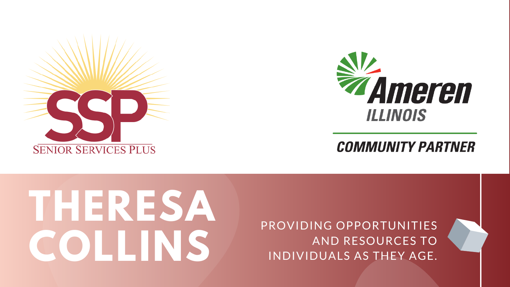# **SENIOR SERVICES PLUS**

## **THERESA COLLINS**

PROVIDING OPPORTUNITIES AND RESOURCES TO INDIVIDUALS AS THEY AGE.



#### **COMMUNITY PARTNER**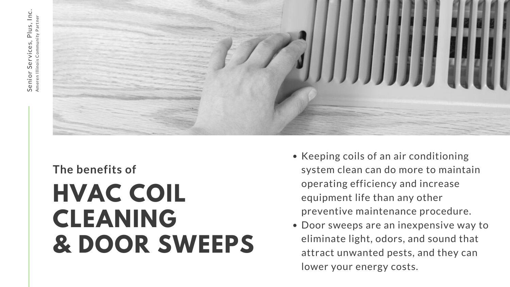• Keeping coils of an air conditioning system clean can do more to maintain operating efficiency and increase equipment life than any other preventive maintenance procedure. Door sweeps are an inexpensive way to eliminate light, odors, and sound that attract unwanted pests, and they can lower your energy costs.



#### **HVAC COIL CLEANING & DOOR SWEEPS The benefits of**

- -
	-
	-
	-
	- -
	-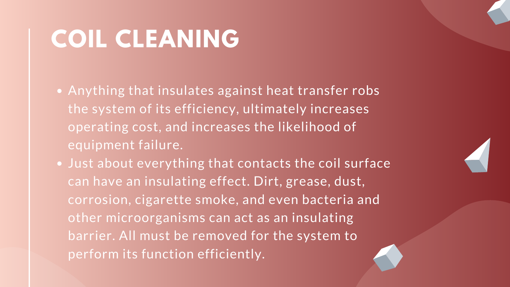#### **COIL CLEANING**

- Anything that insulates against heat transfer robs the system of its efficiency, ultimately increases operating cost, and increases the likelihood of equipment failure.
- . Just about everything that contacts the coil surface can have an insulating effect. Dirt, grease, dust, corrosion, cigarette smoke, and even bacteria and other microorganisms can act as an insulating barrier. All must be removed for the system to perform its function efficiently.